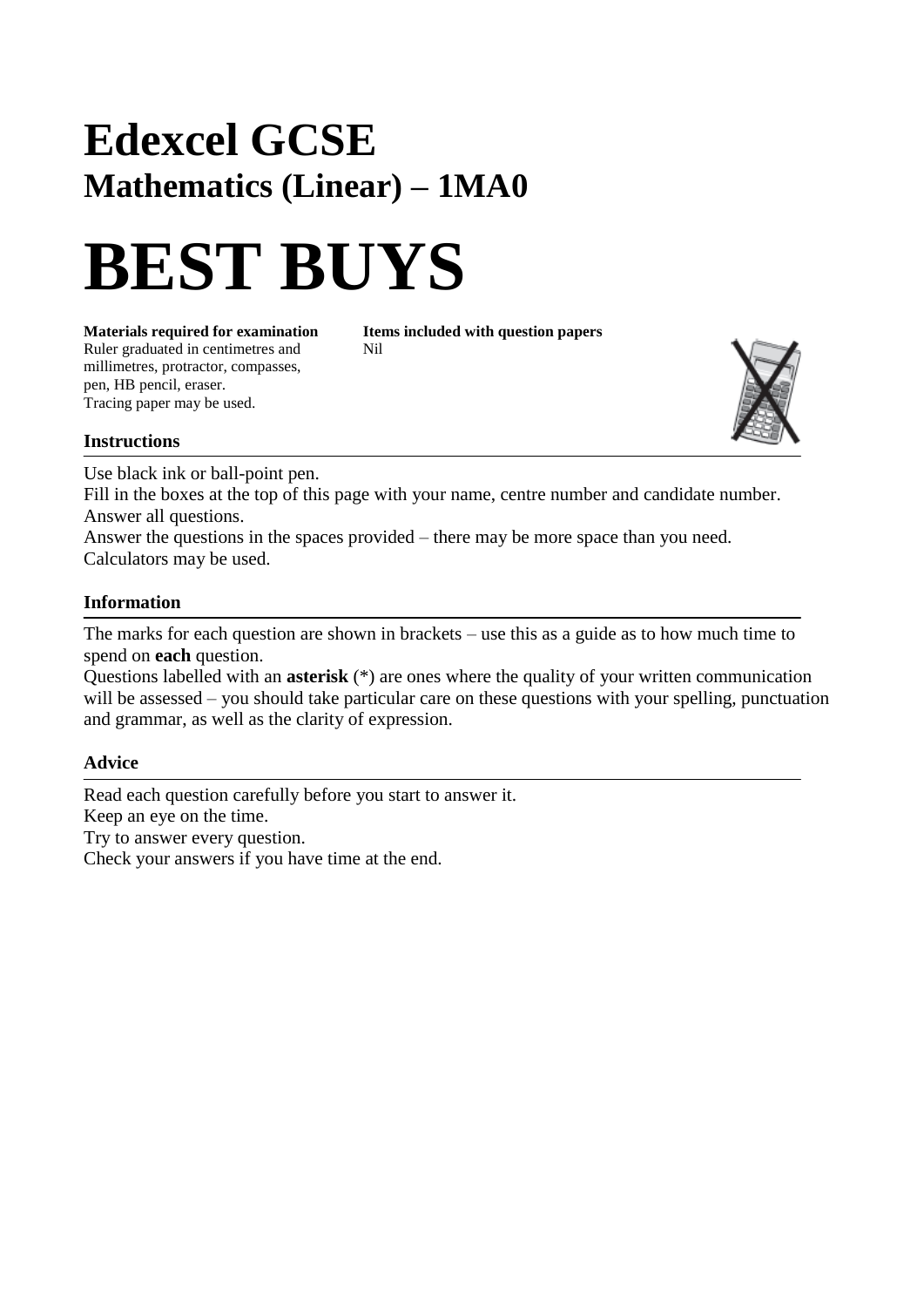## **Edexcel GCSE Mathematics (Linear) – 1MA0**

# **BEST BUYS**

**Materials required for examination** Items included with question papers Ruler graduated in centimetres and Nil millimetres, protractor, compasses, pen, HB pencil, eraser. Tracing paper may be used.



#### **Instructions**

Use black ink or ball-point pen.

Fill in the boxes at the top of this page with your name, centre number and candidate number. Answer all questions.

Answer the questions in the spaces provided – there may be more space than you need. Calculators may be used.

#### **Information**

The marks for each question are shown in brackets – use this as a guide as to how much time to spend on **each** question.

Questions labelled with an **asterisk** (\*) are ones where the quality of your written communication will be assessed – you should take particular care on these questions with your spelling, punctuation and grammar, as well as the clarity of expression.

#### **Advice**

Read each question carefully before you start to answer it. Keep an eye on the time. Try to answer every question. Check your answers if you have time at the end.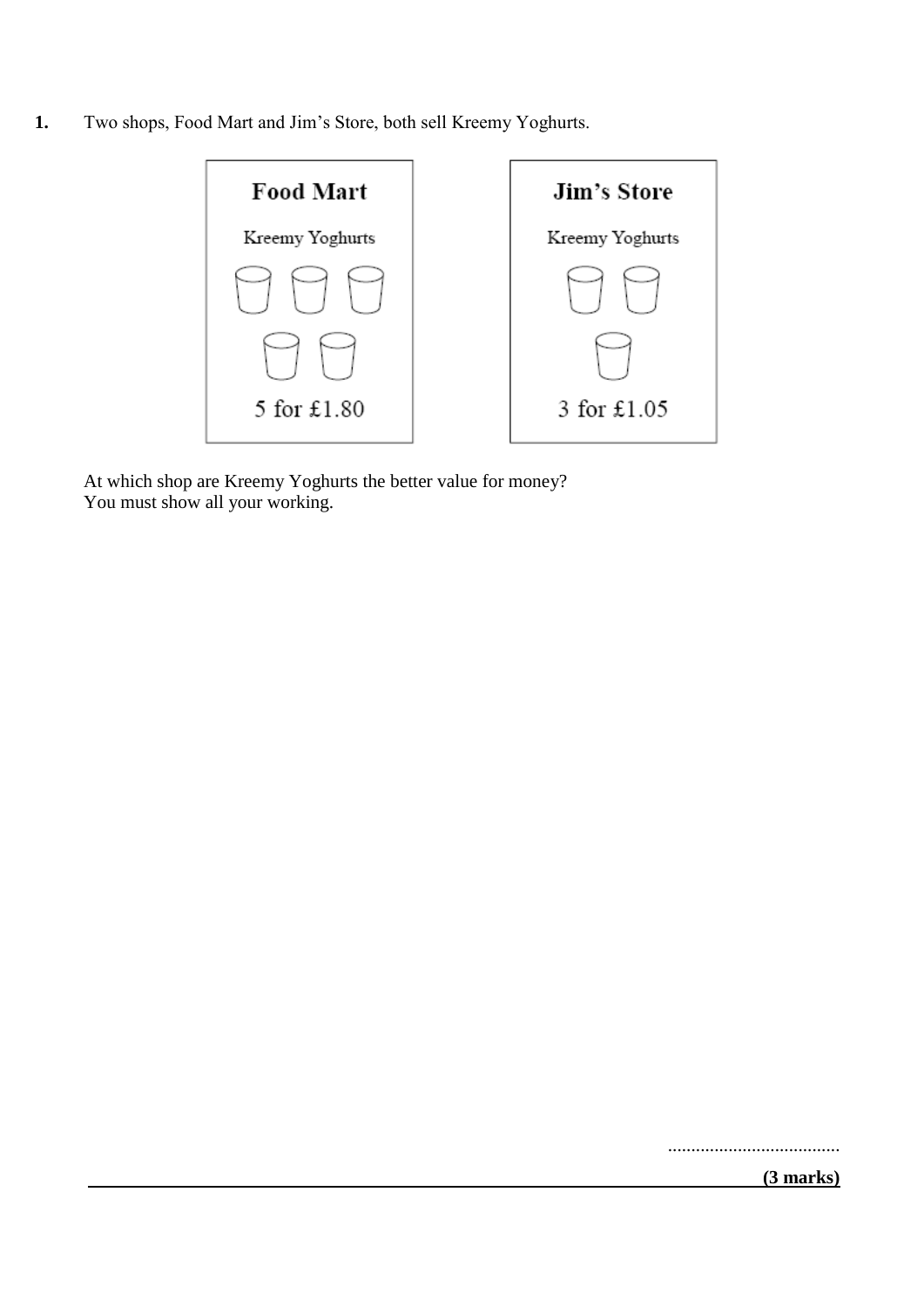**1.** Two shops, Food Mart and Jim's Store, both sell Kreemy Yoghurts.



At which shop are Kreemy Yoghurts the better value for money? You must show all your working.

.....................................

 **(3 marks)**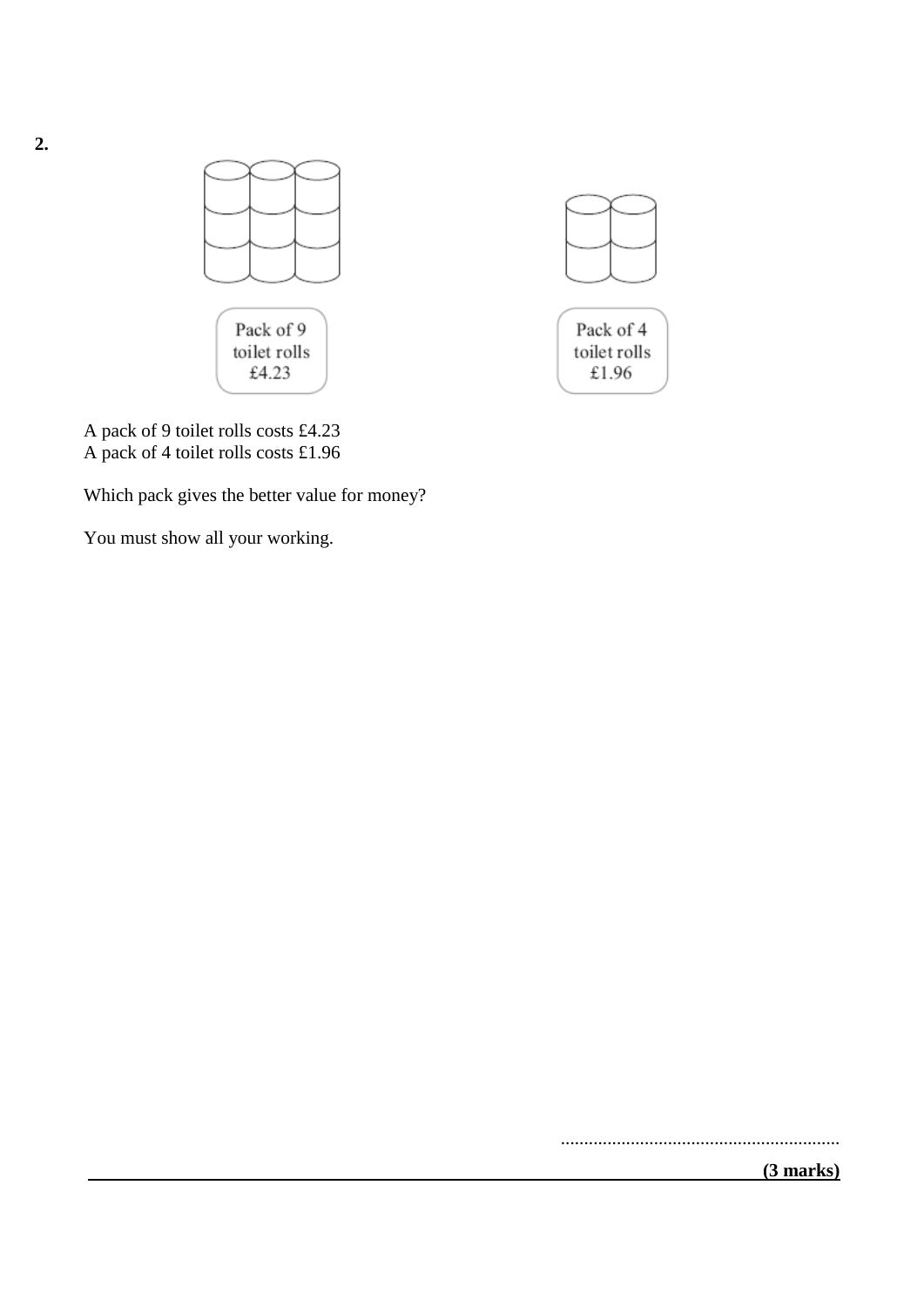

A pack of 9 toilet rolls costs £4.23 A pack of 4 toilet rolls costs £1.96

Which pack gives the better value for money?

You must show all your working.

 **(3 marks)**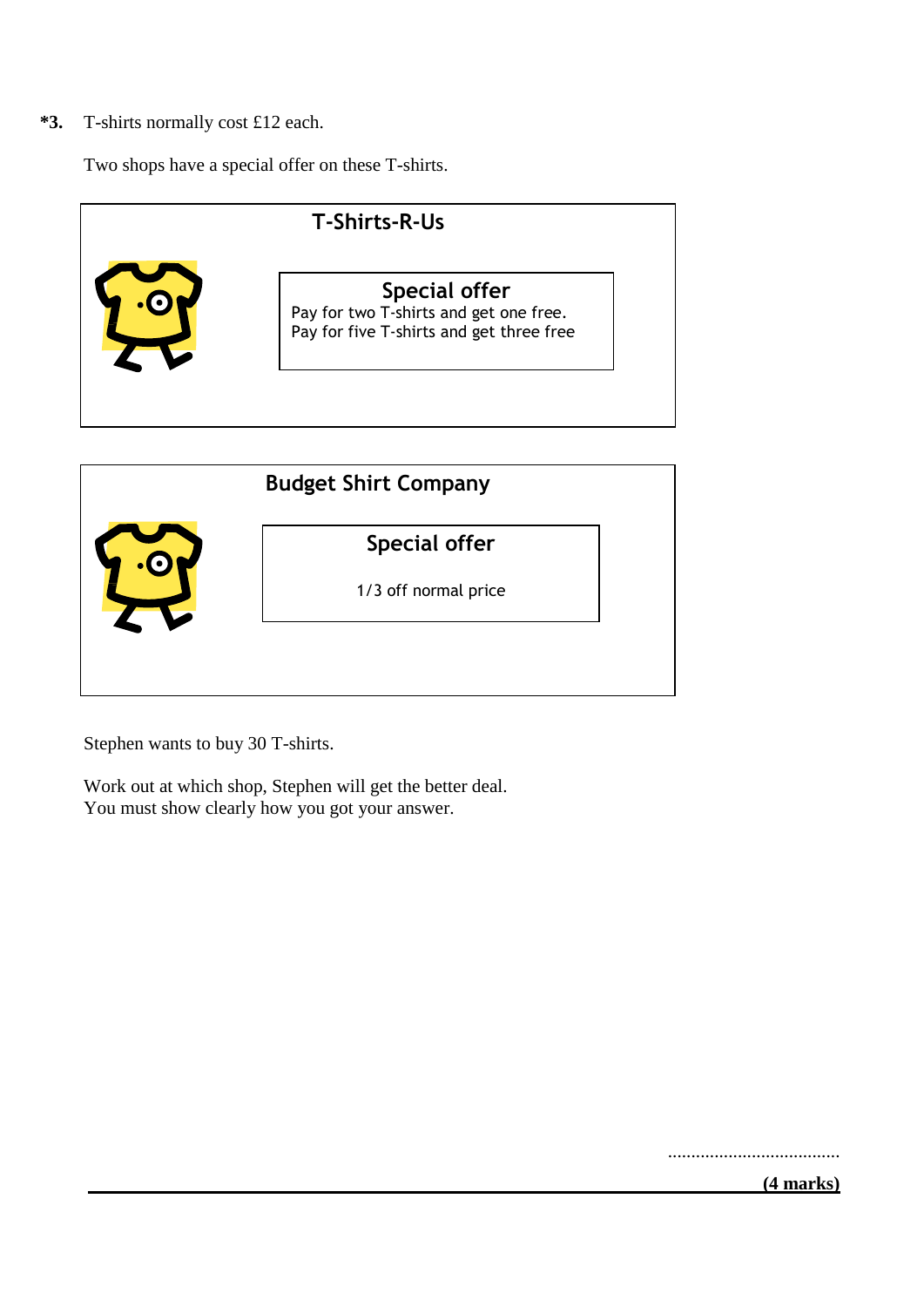**\*3.** T-shirts normally cost £12 each.

Two shops have a special offer on these T-shirts.





Stephen wants to buy 30 T-shirts.

Work out at which shop, Stephen will get the better deal. You must show clearly how you got your answer.

.....................................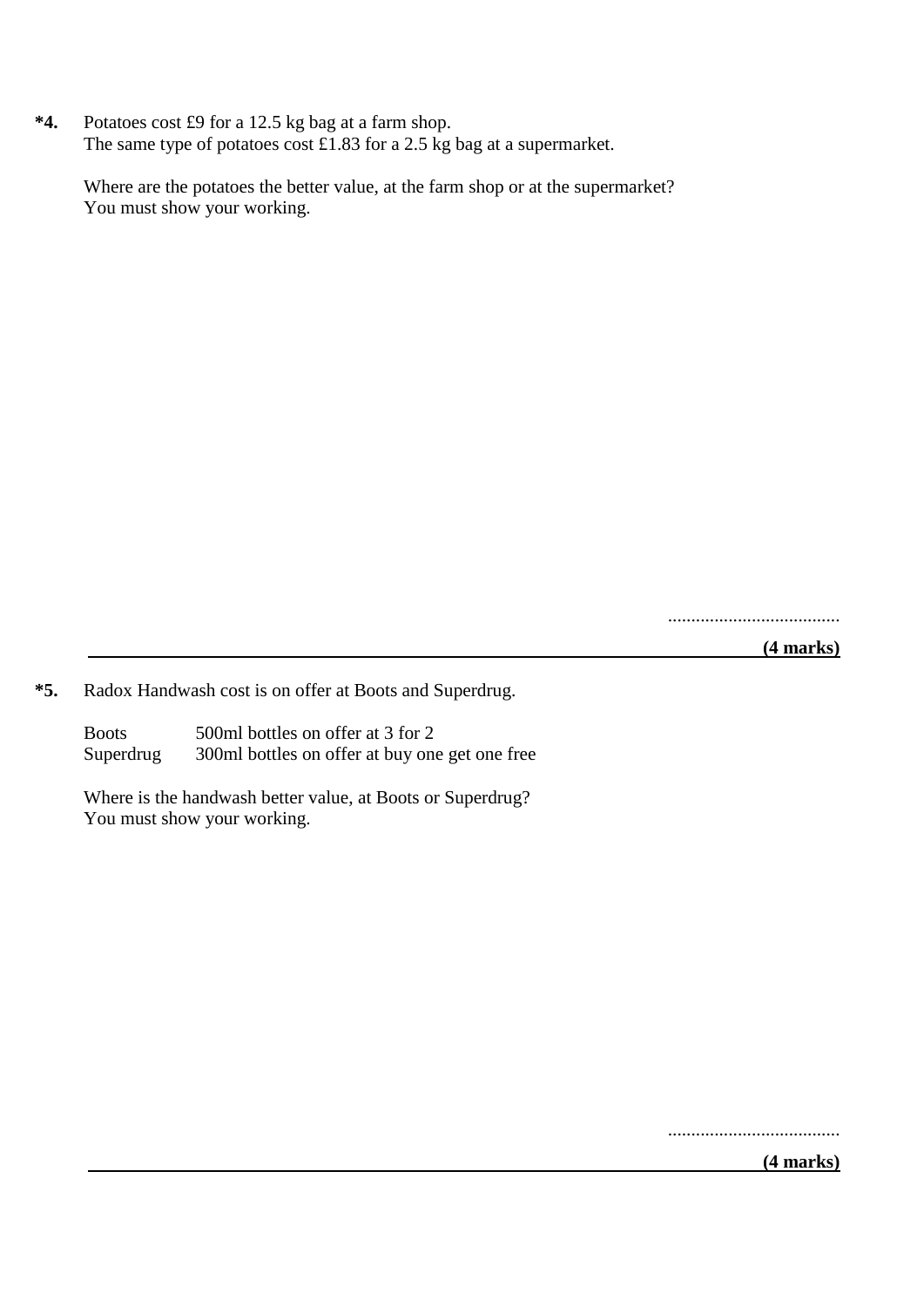**\*4.** Potatoes cost £9 for a 12.5 kg bag at a farm shop. The same type of potatoes cost £1.83 for a 2.5 kg bag at a supermarket.

Where are the potatoes the better value, at the farm shop or at the supermarket? You must show your working.

.....................................

 **(4 marks)**

**\*5.** Radox Handwash cost is on offer at Boots and Superdrug.

Boots 500ml bottles on offer at 3 for 2 Superdrug 300ml bottles on offer at buy one get one free

Where is the handwash better value, at Boots or Superdrug? You must show your working.

.....................................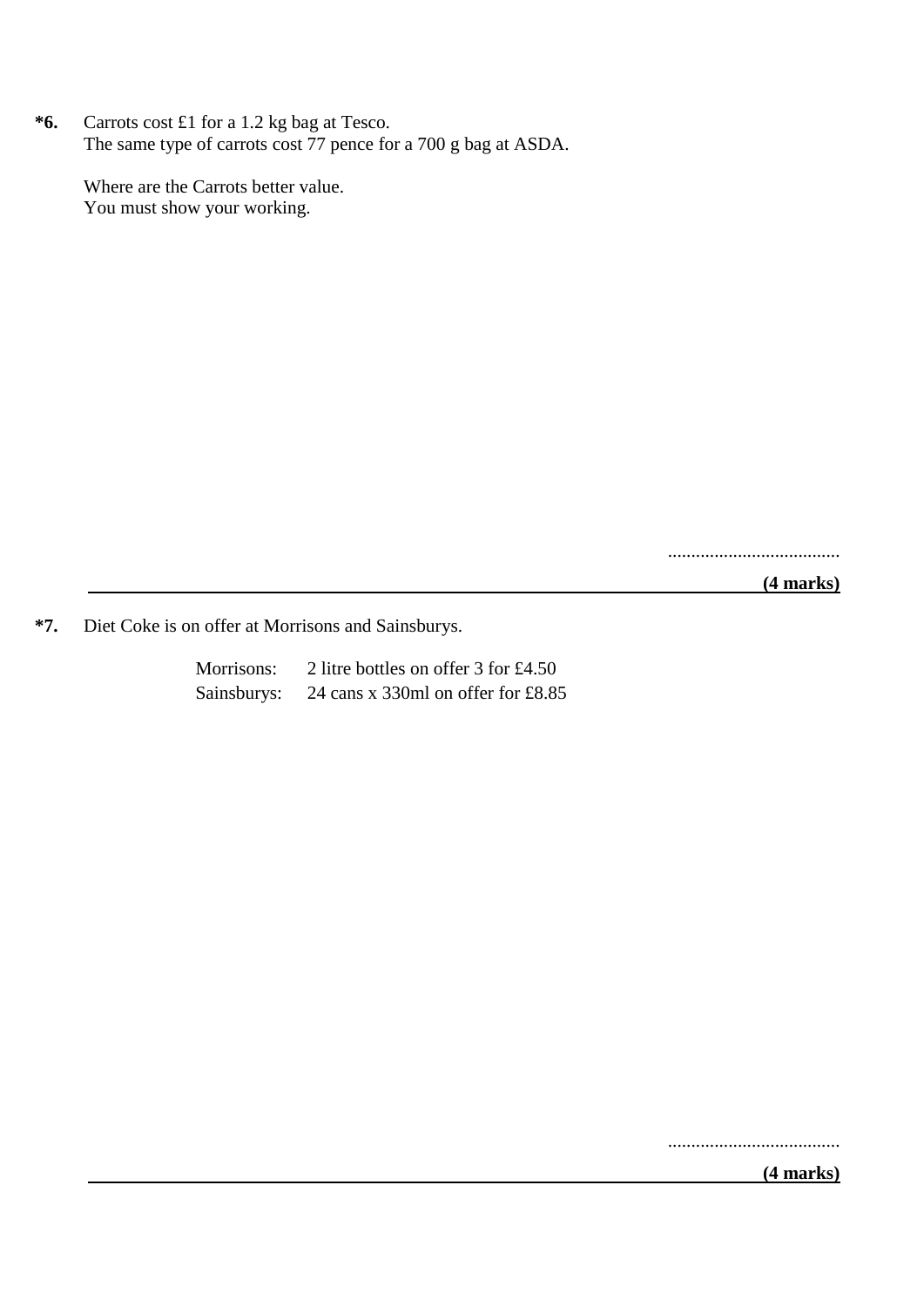**\*6.** Carrots cost £1 for a 1.2 kg bag at Tesco. The same type of carrots cost 77 pence for a 700 g bag at ASDA.

Where are the Carrots better value. You must show your working.

.....................................

 **(4 marks)**

**\*7.** Diet Coke is on offer at Morrisons and Sainsburys.

| Morrisons:  | 2 litre bottles on offer $3$ for £4.50 |
|-------------|----------------------------------------|
| Sainsburys: | 24 cans x 330ml on offer for $£8.85$   |

.....................................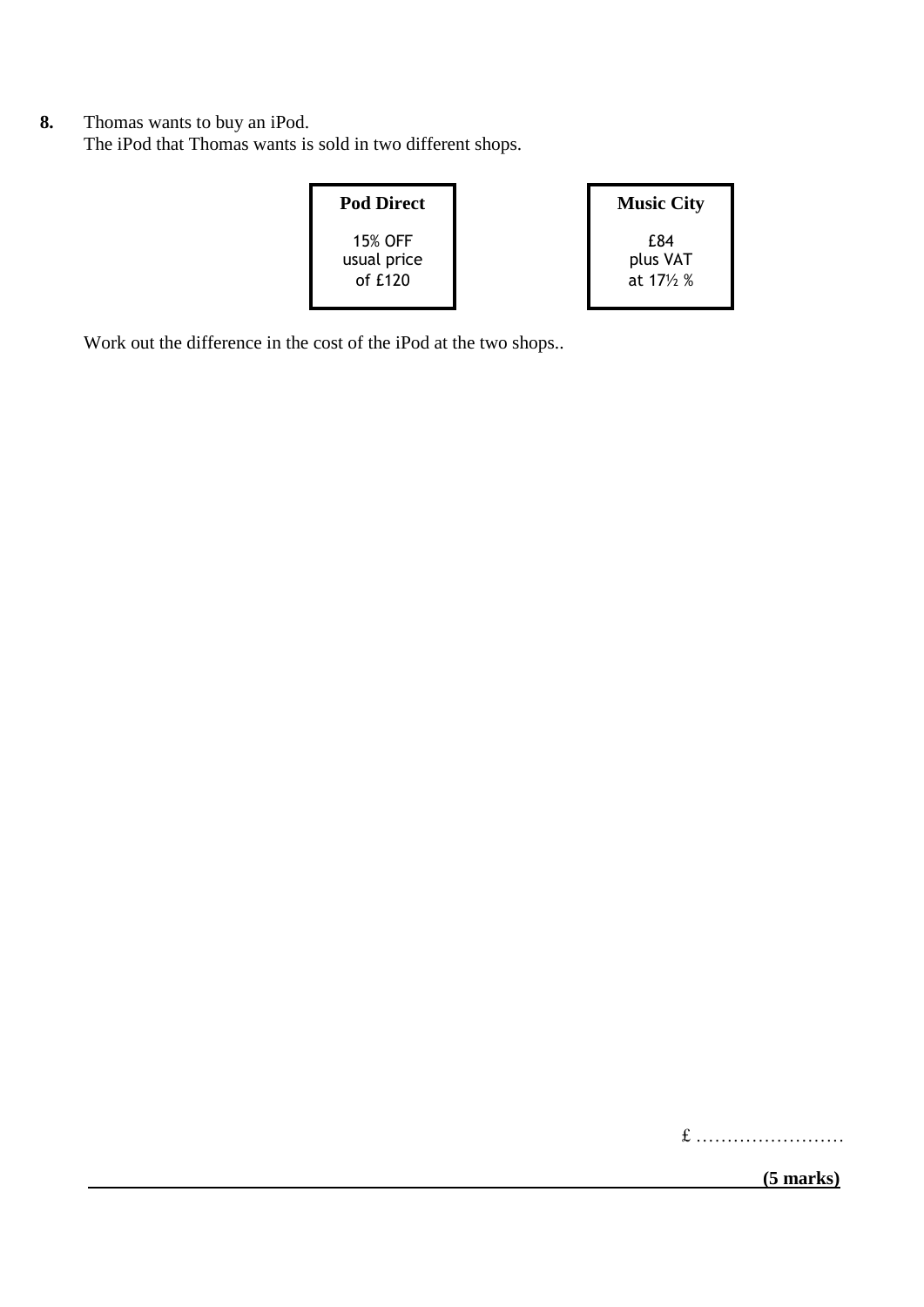**8.** Thomas wants to buy an iPod. The iPod that Thomas wants is sold in two different shops.

| <b>Pod Direct</b>                   | <b>Music City</b>             |
|-------------------------------------|-------------------------------|
| 15% OFF<br>usual price<br>of $£120$ | £84<br>plus VAT<br>at 171/2 % |

Work out the difference in the cost of the iPod at the two shops..

£ ……………………

 **(5 marks)**